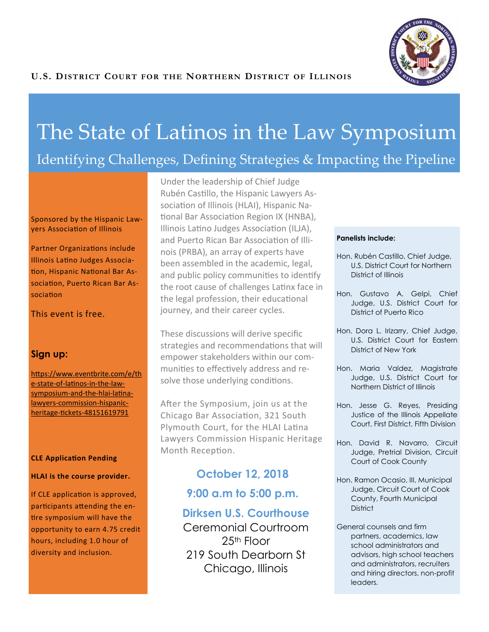

# The State of Latinos in the Law Symposium

# Identifying Challenges, Defining Strategies & Impacting the Pipeline

Sponsored by the Hispanic Lawyers Association of Illinois

Partner Organizations include Illinois Latino Judges Association, Hispanic National Bar Association, Puerto Rican Bar Association

This event is free.

#### **Sign up:**

[https://www.eventbrite.com/e/th](https://www.eventbrite.com/e/the-state-of-latinos-in-the-law-symposium-and-the-hlai-latina-lawyers-commission-hispanic-heritage-tickets-48151619791) e-state-of-[latinos](https://www.eventbrite.com/e/the-state-of-latinos-in-the-law-symposium-and-the-hlai-latina-lawyers-commission-hispanic-heritage-tickets-48151619791)-in-the-law[symposium](https://www.eventbrite.com/e/the-state-of-latinos-in-the-law-symposium-and-the-hlai-latina-lawyers-commission-hispanic-heritage-tickets-48151619791)-and-the-hlai-latinalawyers-[commission](https://www.eventbrite.com/e/the-state-of-latinos-in-the-law-symposium-and-the-hlai-latina-lawyers-commission-hispanic-heritage-tickets-48151619791)-hispanicheritage-tickets-[48151619791](https://www.eventbrite.com/e/the-state-of-latinos-in-the-law-symposium-and-the-hlai-latina-lawyers-commission-hispanic-heritage-tickets-48151619791)

#### **CLE Application Pending**

#### **HLAI is the course provider.**

If CLE application is approved, participants attending the entire symposium will have the opportunity to earn 4.75 credit hours, including 1.0 hour of diversity and inclusion.

Under the leadership of Chief Judge Rubén Castillo, the Hispanic Lawyers Association of Illinois (HLAI), Hispanic National Bar Association Region IX (HNBA), Illinois Latino Judges Association (ILJA), and Puerto Rican Bar Association of Illinois (PRBA), an array of experts have been assembled in the academic, legal, and public policy communities to identify the root cause of challenges Latinx face in the legal profession, their educational journey, and their career cycles.

These discussions will derive specific strategies and recommendations that will empower stakeholders within our communities to effectively address and resolve those underlying conditions.

After the Symposium, join us at the Chicago Bar Association, 321 South Plymouth Court, for the HLAI Latina Lawyers Commission Hispanic Heritage Month Reception.

# **October 12, 2018**

**9:00 a.m to 5:00 p.m.**

## **Dirksen U.S. Courthouse**

Ceremonial Courtroom 25th Floor 219 South Dearborn St Chicago, Illinois

#### **Panelists include:**

- Hon. Rubén Castillo, Chief Judge, U.S. District Court for Northern District of Illinois
- Hon. Gustavo A. Gelpi, Chief Judge, U.S. District Court for District of Puerto Rico
- Hon. Dora L. Irizarry, Chief Judge, U.S. District Court for Eastern District of New York
- Hon. Maria Valdez, Magistrate Judge, U.S. District Court for Northern District of Illinois
- Hon. Jesse G. Reyes, Presiding Justice of the Illinois Appellate Court, First District, Fifth Division
- Hon. David R. Navarro, Circuit Judge, Pretrial Division, Circuit Court of Cook County
- Hon. Ramon Ocasio, III, Municipal Judge, Circuit Court of Cook County, Fourth Municipal **District**
- General counsels and firm partners, academics, law school administrators and advisors, high school teachers and administrators, recruiters and hiring directors, non-profit leaders.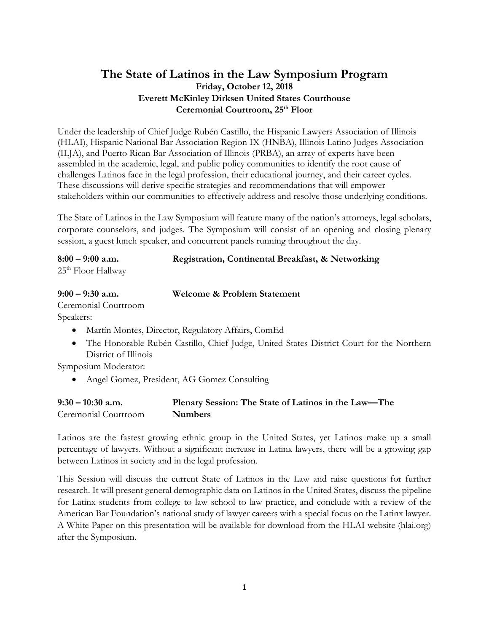# **The State of Latinos in the Law Symposium Program Friday, October 12, 2018 Everett McKinley Dirksen United States Courthouse Ceremonial Courtroom, 25th Floor**

Under the leadership of Chief Judge Rubén Castillo, the Hispanic Lawyers Association of Illinois (HLAI), Hispanic National Bar Association Region IX (HNBA), Illinois Latino Judges Association (ILJA), and Puerto Rican Bar Association of Illinois (PRBA), an array of experts have been assembled in the academic, legal, and public policy communities to identify the root cause of challenges Latinos face in the legal profession, their educational journey, and their career cycles. These discussions will derive specific strategies and recommendations that will empower stakeholders within our communities to effectively address and resolve those underlying conditions.

The State of Latinos in the Law Symposium will feature many of the nation's attorneys, legal scholars, corporate counselors, and judges. The Symposium will consist of an opening and closing plenary session, a guest lunch speaker, and concurrent panels running throughout the day.

| $8:00 - 9:00$ a.m.             | Registration, Continental Breakfast, & Networking |
|--------------------------------|---------------------------------------------------|
| 25 <sup>th</sup> Floor Hallway |                                                   |

| $9:00 - 9:30$ a.m.   | <b>Welcome &amp; Problem Statement</b>                                  |
|----------------------|-------------------------------------------------------------------------|
| Ceremonial Courtroom |                                                                         |
| Speakers:            |                                                                         |
| $\bullet$            | Martín Montes, Director, Regulatory Affairs, ComEd                      |
|                      | The Honorable Rubén Castillo, Chief Judge, United States District Court |
| District of Illinois |                                                                         |

Symposium Moderator:

Angel Gomez, President, AG Gomez Consulting

| $9:30 - 10:30$ a.m.  | Plenary Session: The State of Latinos in the Law-The |
|----------------------|------------------------------------------------------|
| Ceremonial Courtroom | <b>Numbers</b>                                       |

Latinos are the fastest growing ethnic group in the United States, yet Latinos make up a small percentage of lawyers. Without a significant increase in Latinx lawyers, there will be a growing gap between Latinos in society and in the legal profession.

for the Northern

This Session will discuss the current State of Latinos in the Law and raise questions for further research. It will present general demographic data on Latinos in the United States, discuss the pipeline for Latinx students from college to law school to law practice, and conclude with a review of the American Bar Foundation's national study of lawyer careers with a special focus on the Latinx lawyer. A White Paper on this presentation will be available for download from the HLAI website (hlai.org) after the Symposium.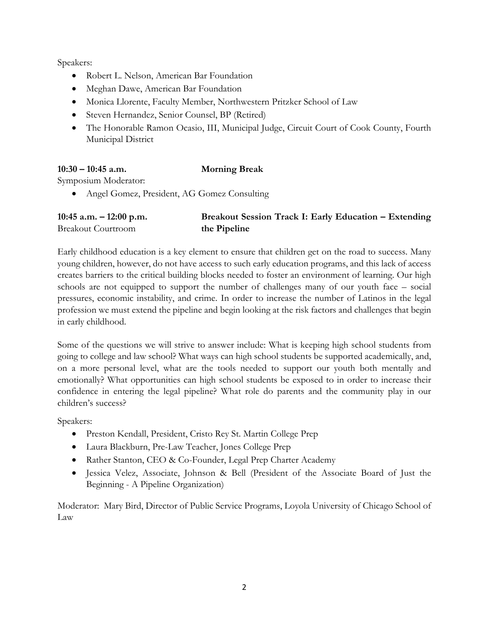Speakers:

- Robert L. Nelson, American Bar Foundation
- Meghan Dawe, American Bar Foundation
- Monica Llorente, Faculty Member, Northwestern Pritzker School of Law
- Steven Hernandez, Senior Counsel, BP (Retired)
- The Honorable Ramon Ocasio, III, Municipal Judge, Circuit Court of Cook County, Fourth Municipal District

### **10:30 – 10:45 a.m. Morning Break**

Symposium Moderator:

Angel Gomez, President, AG Gomez Consulting

| $10:45$ a.m. $-12:00$ p.m. | Breakout Session Track I: Early Education - Extending |
|----------------------------|-------------------------------------------------------|
| <b>Breakout Courtroom</b>  | the Pipeline                                          |

Early childhood education is a key element to ensure that children get on the road to success. Many young children, however, do not have access to such early education programs, and this lack of access creates barriers to the critical building blocks needed to foster an environment of learning. Our high schools are not equipped to support the number of challenges many of our youth face – social pressures, economic instability, and crime. In order to increase the number of Latinos in the legal profession we must extend the pipeline and begin looking at the risk factors and challenges that begin in early childhood.

Some of the questions we will strive to answer include: What is keeping high school students from going to college and law school? What ways can high school students be supported academically, and, on a more personal level, what are the tools needed to support our youth both mentally and emotionally? What opportunities can high school students be exposed to in order to increase their confidence in entering the legal pipeline? What role do parents and the community play in our children's success?

Speakers:

- Preston Kendall, President, Cristo Rey St. Martin College Prep
- Laura Blackburn, Pre-Law Teacher, Jones College Prep
- Rather Stanton, CEO & Co-Founder, Legal Prep Charter Academy
- Jessica Velez, Associate, Johnson & Bell (President of the Associate Board of Just the Beginning - A Pipeline Organization)

Moderator: Mary Bird, Director of Public Service Programs, Loyola University of Chicago School of Law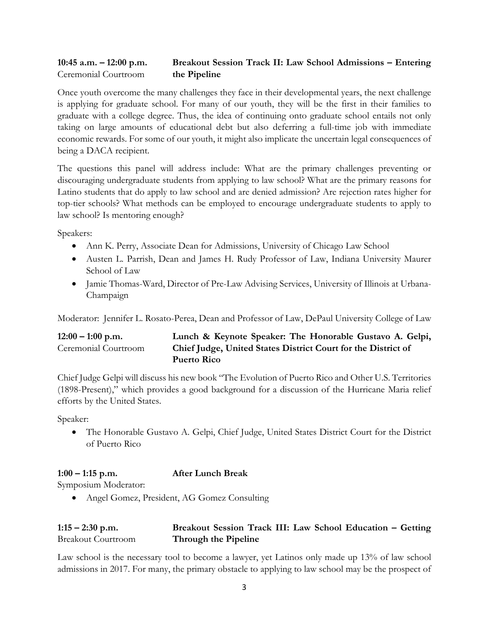#### **10:45 a.m. – 12:00 p.m. Breakout Session Track II: Law School Admissions – Entering**  Ceremonial Courtroom **the Pipeline**

Once youth overcome the many challenges they face in their developmental years, the next challenge is applying for graduate school. For many of our youth, they will be the first in their families to graduate with a college degree. Thus, the idea of continuing onto graduate school entails not only taking on large amounts of educational debt but also deferring a full-time job with immediate economic rewards. For some of our youth, it might also implicate the uncertain legal consequences of being a DACA recipient.

The questions this panel will address include: What are the primary challenges preventing or discouraging undergraduate students from applying to law school? What are the primary reasons for Latino students that do apply to law school and are denied admission? Are rejection rates higher for top-tier schools? What methods can be employed to encourage undergraduate students to apply to law school? Is mentoring enough?

Speakers:

- Ann K. Perry, Associate Dean for Admissions, University of Chicago Law School
- Austen L. Parrish, Dean and James H. Rudy Professor of Law, Indiana University Maurer School of Law
- Jamie Thomas-Ward, Director of Pre-Law Advising Services, University of Illinois at Urbana-Champaign

Moderator: Jennifer L. Rosato-Perea, Dean and Professor of Law, DePaul University College of Law

## **12:00 – 1:00 p.m. Lunch & Keynote Speaker: The Honorable Gustavo A. Gelpi,**  Ceremonial Courtroom **Chief Judge, United States District Court for the District of Puerto Rico**

Chief Judge Gelpi will discuss his new book "The Evolution of Puerto Rico and Other U.S. Territories (1898-Present)," which provides a good background for a discussion of the Hurricane Maria relief efforts by the United States.

Speaker:

 The Honorable Gustavo A. Gelpi, Chief Judge, United States District Court for the District of Puerto Rico

#### **1:00 – 1:15 p.m. After Lunch Break**

Symposium Moderator:

Angel Gomez, President, AG Gomez Consulting

### **1:15 – 2:30 p.m. Breakout Session Track III: Law School Education – Getting**  Breakout Courtroom **Through the Pipeline**

Law school is the necessary tool to become a lawyer, yet Latinos only made up 13% of law school admissions in 2017. For many, the primary obstacle to applying to law school may be the prospect of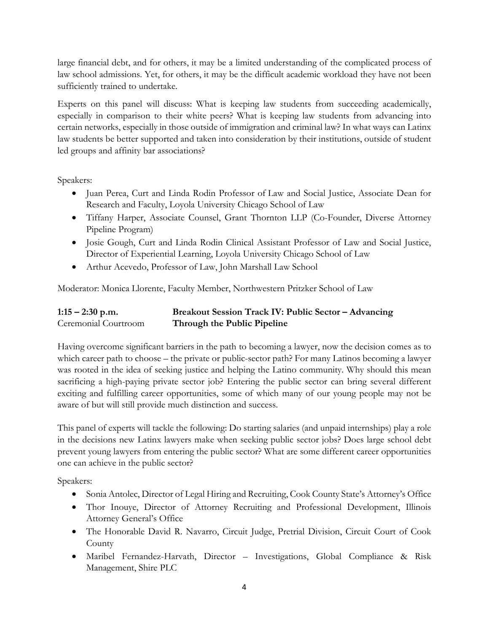large financial debt, and for others, it may be a limited understanding of the complicated process of law school admissions. Yet, for others, it may be the difficult academic workload they have not been sufficiently trained to undertake.

Experts on this panel will discuss: What is keeping law students from succeeding academically, especially in comparison to their white peers? What is keeping law students from advancing into certain networks, especially in those outside of immigration and criminal law? In what ways can Latinx law students be better supported and taken into consideration by their institutions, outside of student led groups and affinity bar associations?

Speakers:

- Juan Perea, Curt and Linda Rodin Professor of Law and Social Justice, Associate Dean for Research and Faculty, Loyola University Chicago School of Law
- Tiffany Harper, Associate Counsel, Grant Thornton LLP (Co-Founder, Diverse Attorney Pipeline Program)
- Josie Gough, Curt and Linda Rodin Clinical Assistant Professor of Law and Social Justice, Director of Experiential Learning, Loyola University Chicago School of Law
- Arthur Acevedo, Professor of Law, John Marshall Law School

Moderator: Monica Llorente, Faculty Member, Northwestern Pritzker School of Law

| $1:15 - 2:30$ p.m.   | <b>Breakout Session Track IV: Public Sector – Advancing</b> |
|----------------------|-------------------------------------------------------------|
| Ceremonial Courtroom | Through the Public Pipeline                                 |

Having overcome significant barriers in the path to becoming a lawyer, now the decision comes as to which career path to choose – the private or public-sector path? For many Latinos becoming a lawyer was rooted in the idea of seeking justice and helping the Latino community. Why should this mean sacrificing a high-paying private sector job? Entering the public sector can bring several different exciting and fulfilling career opportunities, some of which many of our young people may not be aware of but will still provide much distinction and success.

This panel of experts will tackle the following: Do starting salaries (and unpaid internships) play a role in the decisions new Latinx lawyers make when seeking public sector jobs? Does large school debt prevent young lawyers from entering the public sector? What are some different career opportunities one can achieve in the public sector?

Speakers:

- Sonia Antolec, Director of Legal Hiring and Recruiting, Cook County State's Attorney's Office
- Thor Inouye, Director of Attorney Recruiting and Professional Development, Illinois Attorney General's Office
- The Honorable David R. Navarro, Circuit Judge, Pretrial Division, Circuit Court of Cook County
- Maribel Fernandez-Harvath, Director Investigations, Global Compliance & Risk Management, Shire PLC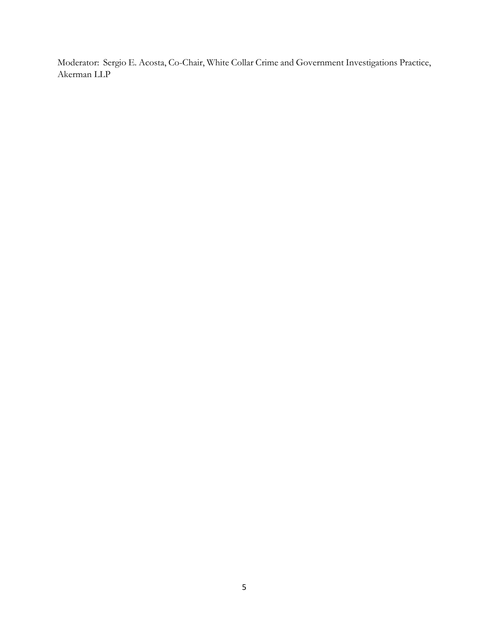Moderator: Sergio E. Acosta, Co-Chair, White Collar Crime and Government Investigations Practice, Akerman LLP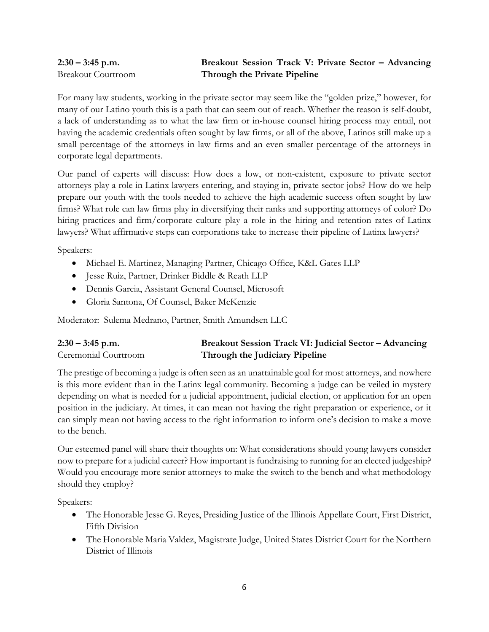### **2:30 – 3:45 p.m. Breakout Session Track V: Private Sector – Advancing**  Breakout Courtroom **Through the Private Pipeline**

For many law students, working in the private sector may seem like the "golden prize," however, for many of our Latino youth this is a path that can seem out of reach. Whether the reason is self-doubt, a lack of understanding as to what the law firm or in-house counsel hiring process may entail, not having the academic credentials often sought by law firms, or all of the above, Latinos still make up a small percentage of the attorneys in law firms and an even smaller percentage of the attorneys in corporate legal departments.

Our panel of experts will discuss: How does a low, or non-existent, exposure to private sector attorneys play a role in Latinx lawyers entering, and staying in, private sector jobs? How do we help prepare our youth with the tools needed to achieve the high academic success often sought by law firms? What role can law firms play in diversifying their ranks and supporting attorneys of color? Do hiring practices and firm/corporate culture play a role in the hiring and retention rates of Latinx lawyers? What affirmative steps can corporations take to increase their pipeline of Latinx lawyers?

Speakers:

- Michael E. Martinez, Managing Partner, Chicago Office, K&L Gates LLP
- Jesse Ruiz, Partner, Drinker Biddle & Reath LLP
- Dennis Garcia, Assistant General Counsel, Microsoft
- Gloria Santona, Of Counsel, Baker McKenzie

Moderator: Sulema Medrano, Partner, Smith Amundsen LLC

| $2:30 - 3:45$ p.m.   | Breakout Session Track VI: Judicial Sector - Advancing |
|----------------------|--------------------------------------------------------|
| Ceremonial Courtroom | Through the Judiciary Pipeline                         |

The prestige of becoming a judge is often seen as an unattainable goal for most attorneys, and nowhere is this more evident than in the Latinx legal community. Becoming a judge can be veiled in mystery depending on what is needed for a judicial appointment, judicial election, or application for an open position in the judiciary. At times, it can mean not having the right preparation or experience, or it can simply mean not having access to the right information to inform one's decision to make a move to the bench.

Our esteemed panel will share their thoughts on: What considerations should young lawyers consider now to prepare for a judicial career? How important is fundraising to running for an elected judgeship? Would you encourage more senior attorneys to make the switch to the bench and what methodology should they employ?

Speakers:

- The Honorable Jesse G. Reyes, Presiding Justice of the Illinois Appellate Court, First District, Fifth Division
- The Honorable Maria Valdez, Magistrate Judge, United States District Court for the Northern District of Illinois